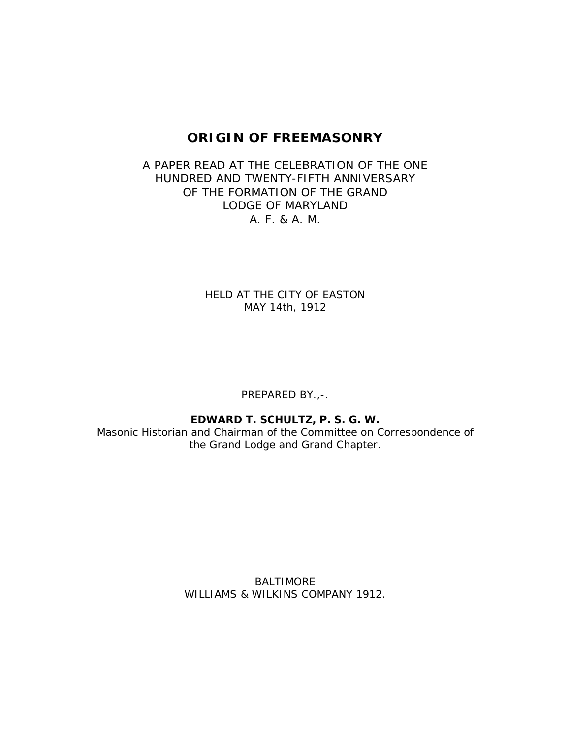# **ORIGIN OF FREEMASONRY**

## A PAPER READ AT THE CELEBRATION OF THE ONE HUNDRED AND TWENTY-FIFTH ANNIVERSARY OF THE FORMATION OF THE GRAND LODGE OF MARYLAND A. F. & A. M.

HELD AT THE CITY OF EASTON MAY 14th, 1912

PREPARED BY.,-.

**EDWARD T. SCHULTZ, P. S. G. W.**

Masonic Historian and Chairman of the Committee on Correspondence of the Grand Lodge and Grand Chapter.

> BALTIMORE WILLIAMS & WILKINS COMPANY 1912.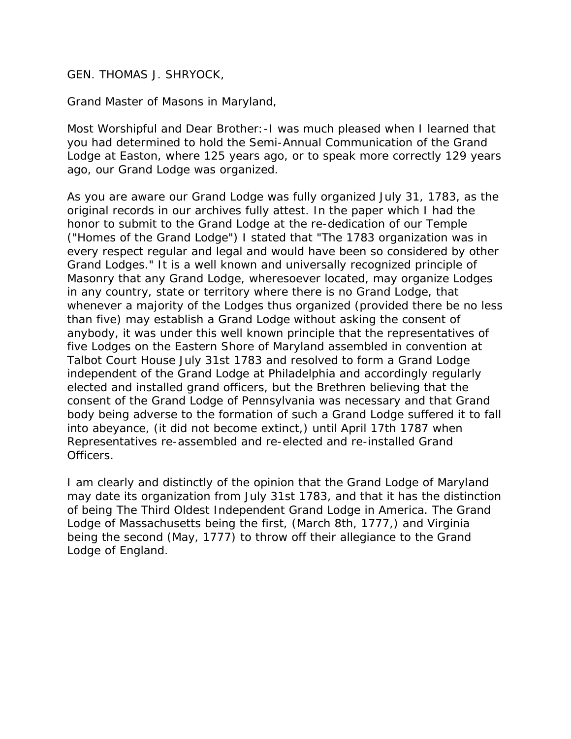## GEN. THOMAS J. SHRYOCK,

### *Grand Master of Masons in Maryland,*

*Most Worshipful and Dear Brother:*-I was much pleased when I learned that you had determined to hold the Semi-Annual Communication of the Grand Lodge at Easton, where 125 years ago, or to speak more correctly 129 years ago, our Grand Lodge was organized.

As you are aware our Grand Lodge was fully organized July 31, 1783, as the original records in our archives fully attest. In the paper which I had the honor to submit to the Grand Lodge at the re-dedication of our Temple ("Homes of the Grand Lodge") I stated that "The 1783 organization was in every respect regular and legal and would have been so considered by other Grand Lodges." It is a well known and universally recognized principle of Masonry that any Grand Lodge, wheresoever located, may organize Lodges in any country, state or territory where there is no Grand Lodge, that whenever a majority of the Lodges thus organized (provided there be no less than five) may establish a Grand Lodge without asking the consent of anybody, it was under this well known principle that the representatives of five Lodges on the Eastern Shore of Maryland assembled in convention at Talbot Court House July 31st 1783 and resolved to form a Grand Lodge independent of the Grand Lodge at Philadelphia and accordingly regularly elected and installed grand officers, but the Brethren believing that the consent of the Grand Lodge of Pennsylvania was necessary and that Grand body being adverse to the formation of such a Grand Lodge suffered it to fall into abeyance, (it did not become extinct,) until April 17th 1787 when Representatives re-assembled and re-elected and re-installed Grand Officers.

I am clearly and distinctly of the opinion that the Grand Lodge of Maryland may date its organization from July 31st 1783, and that it has the distinction of being *The Third Oldest Independent Grand Lodge in America.* The Grand Lodge of Massachusetts being the first, (March 8th, 1777,) and Virginia being the second (May, 1777) to throw off their allegiance to the Grand Lodge of England.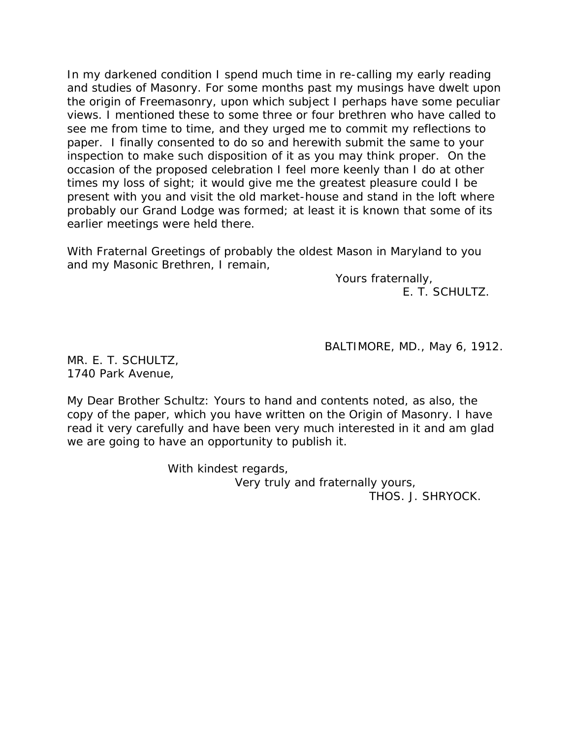In my darkened condition I spend much time in re-calling my early reading and studies of Masonry. For some months past my musings have dwelt upon the origin of Freemasonry, upon which subject I perhaps have some peculiar views. I mentioned these to some three or four brethren who have called to see me from time to time, and they urged me to commit my reflections to paper. I finally consented to do so and herewith submit the same to your inspection to make such disposition of it as you may think proper. On the occasion of the proposed celebration I feel more keenly than I do at other times my loss of sight; it would give me the greatest pleasure could I be present with you and visit the old market-house and stand in the loft where probably our Grand Lodge was formed; at least it is known that some of its earlier meetings were held there.

With Fraternal Greetings of probably the oldest Mason in Maryland to you and my Masonic Brethren, I remain,

> Yours fraternally, E. T. SCHULTZ.

BALTIMORE, MD., May 6, 1912.

MR. E. T. SCHULTZ, 1740 Park Avenue,

*My Dear Brother Schultz:* Yours to hand and contents noted, as also, the copy of the paper, which you have written on the Origin of Masonry. I have read it very carefully and have been very much interested in it and am glad we are going to have an opportunity to publish it.

> With kindest regards, Very truly and fraternally yours, THOS. J. SHRYOCK.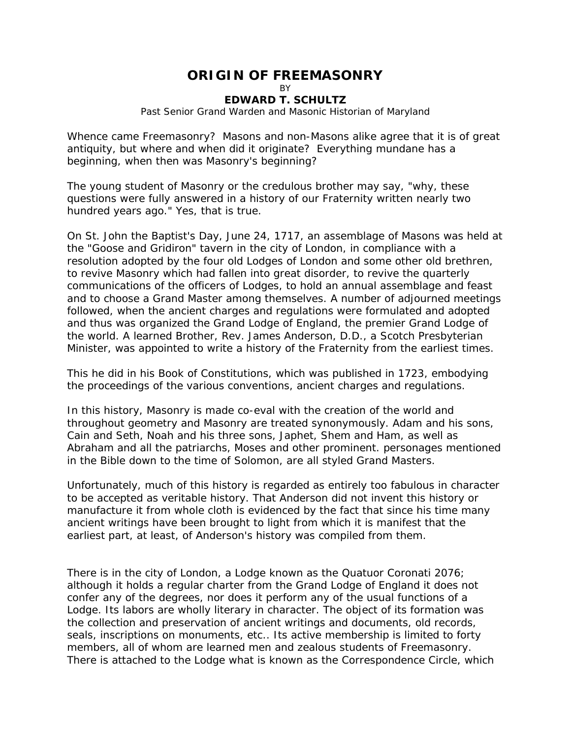# **ORIGIN OF FREEMASONRY**

**R** 

#### **EDWARD T. SCHULTZ**

*Past Senior Grand Warden and Masonic Historian of Maryland*

Whence came Freemasonry? Masons and non-Masons alike agree that it is of great antiquity, but where and when did it originate? Everything mundane has a beginning, when then was Masonry's beginning?

The young student of Masonry or the credulous brother may say, "why, these questions were fully answered in a history of our Fraternity written nearly two hundred years ago." Yes, that is true.

On St. John the Baptist's Day, June 24, 1717, an assemblage of Masons was held at the "Goose and Gridiron" tavern in the city of London, in compliance with a resolution adopted by the four old Lodges of London and some other old brethren, to revive Masonry which had fallen into great disorder, to revive the quarterly communications of the officers of Lodges, to hold an annual assemblage and feast and to choose a Grand Master among themselves. A number of adjourned meetings followed, when the ancient charges and regulations were formulated and adopted and thus was organized the Grand Lodge of England, the premier Grand Lodge of the world. A learned Brother, Rev. James Anderson, D.D., a Scotch Presbyterian Minister, was appointed to write a history of the Fraternity from the earliest times.

This he did in his Book of Constitutions, which was published in 1723, embodying the proceedings of the various conventions, ancient charges and regulations.

In this history, Masonry is made co-eval with the creation of the world and throughout geometry and Masonry are treated synonymously. Adam and his sons, Cain and Seth, Noah and his three sons, Japhet, Shem and Ham, as well as Abraham and all the patriarchs, Moses and other prominent. personages mentioned in the Bible down to the time of Solomon, are all styled Grand Masters.

Unfortunately, much of this history is regarded as entirely too fabulous in character to be accepted as veritable history. That Anderson did not invent this history or manufacture it from whole cloth is evidenced by the fact that since his time many ancient writings have been brought to light from which it is manifest that the earliest part, at least, of Anderson's history was compiled from them.

There is in the city of London, a Lodge known as the Quatuor Coronati 2076; although it holds a regular charter from the Grand Lodge of England it does not confer any of the degrees, nor does it perform any of the usual functions of a Lodge. Its labors are wholly literary in character. The object of its formation was the collection and preservation of ancient writings and documents, old records, seals, inscriptions on monuments, etc.. Its active membership is limited to forty members, all of whom are learned men and zealous students of Freemasonry. There is attached to the Lodge what is known as the Correspondence Circle, which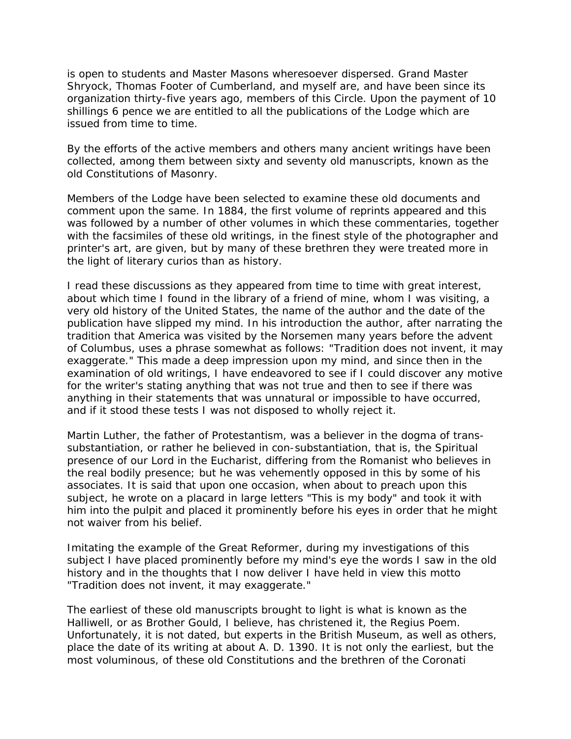is open to students and Master Masons wheresoever dispersed. Grand Master Shryock, Thomas Footer of Cumberland, and myself are, and have been since its organization thirty-five years ago, members of this Circle. Upon the payment of 10 shillings 6 pence we are entitled to all the publications of the Lodge which are issued from time to time.

By the efforts of the active members and others many ancient writings have been collected, among them between sixty and seventy old manuscripts, known as the old Constitutions of Masonry.

Members of the Lodge have been selected to examine these old documents and comment upon the same. In 1884, the first volume of reprints appeared and this was followed by a number of other volumes in which these commentaries, together with the facsimiles of these old writings, in the finest style of the photographer and printer's art, are given, but by many of these brethren they were treated more in the light of literary curios than as history.

I read these discussions as they appeared from time to time with great interest, about which time I found in the library of a friend of mine, whom I was visiting, a very old history of the United States, the name of the author and the date of the publication have slipped my mind. In his introduction the author, after narrating the tradition that America was visited by the Norsemen many years before the advent of Columbus, uses a phrase somewhat as follows: "Tradition does not invent, it may exaggerate." This made a deep impression upon my mind, and since then in the examination of old writings, I have endeavored to see if I could discover any motive for the writer's stating anything that was not true and then to see if there was anything in their statements that was unnatural or impossible to have occurred, and if it stood these tests I was not disposed to wholly reject it.

Martin Luther, the father of Protestantism, was a believer in the dogma of transsubstantiation, or rather he believed in con-substantiation, that is, the Spiritual presence of our Lord in the Eucharist, differing from the Romanist who believes in the real bodily presence; but he was vehemently opposed in this by some of his associates. It is said that upon one occasion, when about to preach upon this subject, he wrote on a placard in large letters "This is my body" and took it with him into the pulpit and placed it prominently before his eyes in order that he might not waiver from his belief.

Imitating the example of the Great Reformer, during my investigations of this subject I have placed prominently before my mind's eye the words I saw in the old history and in the thoughts that I now deliver I have held in view this motto "Tradition does not invent, it may exaggerate."

The earliest of these old manuscripts brought to light is what is known as the Halliwell, or as Brother Gould, I believe, has christened it, the Regius Poem. Unfortunately, it is not dated, but experts in the British Museum, as well as others, place the date of its writing at about A. D. 1390. It is not only the earliest, but the most voluminous, of these old Constitutions and the brethren of the Coronati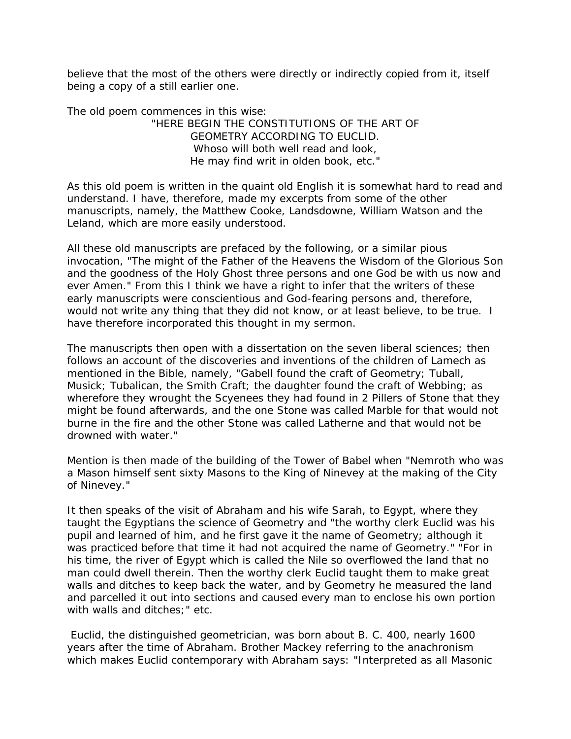believe that the most of the others were directly or indirectly copied from it, itself being a copy of a still earlier one.

The old poem commences in this wise:

"HERE BEGIN THE CONSTITUTIONS OF THE ART OF GEOMETRY ACCORDING TO EUCLID. Whoso will both well read and look, He may find writ in olden book, etc."

As this old poem is written in the quaint old English it is somewhat hard to read and understand. I have, therefore, made my excerpts from some of the other manuscripts, namely, the Matthew Cooke, Landsdowne, William Watson and the Leland, which are more easily understood.

All these old manuscripts are prefaced by the following, or a similar pious invocation, "The might of the Father of the Heavens the Wisdom of the Glorious Son and the goodness of the Holy Ghost three persons and one God be with us now and ever Amen." From this I think we have a right to infer that the writers of these early manuscripts were conscientious and God-fearing persons and, therefore, would not write any thing that they did not know, or at least believe, to be true. I have therefore incorporated this thought in my sermon.

The manuscripts then open with a dissertation on the seven liberal sciences; then follows an account of the discoveries and inventions of the children of Lamech as mentioned in the Bible, namely, "Gabell found the craft of Geometry; Tuball, Musick; Tubalican, the Smith Craft; the daughter found the craft of Webbing; as wherefore they wrought the Scyenees they had found in 2 Pillers of Stone that they might be found afterwards, and the one Stone was called Marble for that would not burne in the fire and the other Stone was called Latherne and that would not be drowned with water."

Mention is then made of the building of the Tower of Babel when "Nemroth who was a Mason himself sent sixty Masons to the King of Ninevey at the making of the City of Ninevey."

It then speaks of the visit of Abraham and his wife Sarah, to Egypt, where they taught the Egyptians the science of Geometry and "the worthy clerk Euclid was his pupil and learned of him, and he first gave it the name of Geometry; although it was practiced before that time it had not acquired the name of Geometry." "For in his time, the river of Egypt which is called the Nile so overflowed the land that no man could dwell therein. Then the worthy clerk Euclid taught them to make great walls and ditches to keep back the water, and by Geometry he measured the land and parcelled it out into sections and caused every man to enclose his own portion with walls and ditches;" etc.

 Euclid, the distinguished geometrician, was born about B. C. 400, nearly 1600 years after the time of Abraham. Brother Mackey referring to the anachronism which makes Euclid contemporary with Abraham says: "Interpreted as all Masonic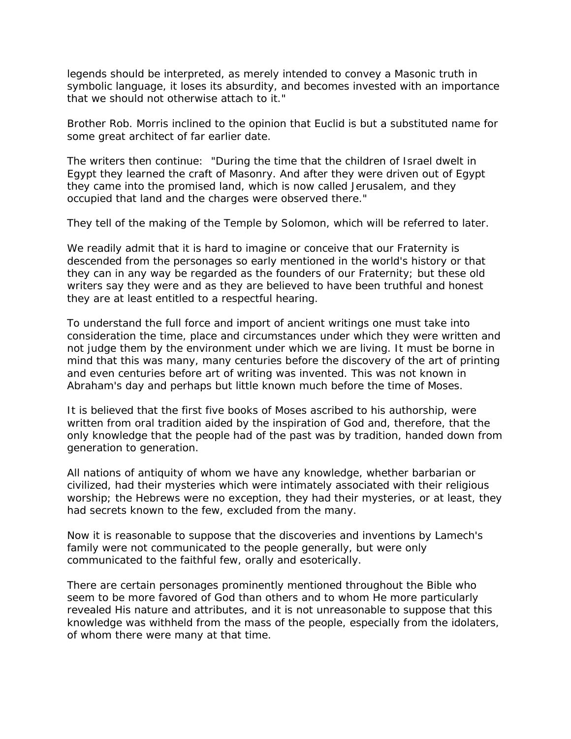legends should be interpreted, as merely intended to convey a Masonic truth in symbolic language, it loses its absurdity, and becomes invested with an importance that we should not otherwise attach to it."

Brother Rob. Morris inclined to the opinion that Euclid is but a substituted name for some great architect of far earlier date.

The writers then continue: "During the time that the children of Israel dwelt in Egypt they learned the craft of Masonry. And after they were driven out of Egypt they came into the promised land, which is now called Jerusalem, and they occupied that land and the charges were observed there."

They tell of the making of the Temple by Solomon, which will be referred to later.

We readily admit that it is hard to imagine or conceive that our Fraternity is descended from the personages so early mentioned in the world's history or that they can in any way be regarded as the founders of our Fraternity; but these old writers say they were and as they are believed to have been truthful and honest they are at least entitled to a respectful hearing.

To understand the full force and import of ancient writings one must take into consideration the time, place and circumstances under which they were written and not judge them by the environment under which we are living. It must be borne in mind that this was many, many centuries before the discovery of the art of printing and even centuries before art of writing was invented. This was not known in Abraham's day and perhaps but little known much before the time of Moses.

It is believed that the first five books of Moses ascribed to his authorship, were written from oral tradition aided by the inspiration of God and, therefore, that the only knowledge that the people had of the past was by tradition, handed down from generation to generation.

All nations of antiquity of whom we have any knowledge, whether barbarian or civilized, had their mysteries which were intimately associated with their religious worship; the Hebrews were no exception, they had their mysteries, or at least, they had secrets known to the few, excluded from the many.

Now it is reasonable to suppose that the discoveries and inventions by Lamech's family were not communicated to the people generally, but were only communicated to the faithful few, orally and esoterically.

There are certain personages prominently mentioned throughout the Bible who seem to be more favored of God than others and to whom He more particularly revealed His nature and attributes, and it is not unreasonable to suppose that this knowledge was withheld from the mass of the people, especially from the idolaters, of whom there were many at that time.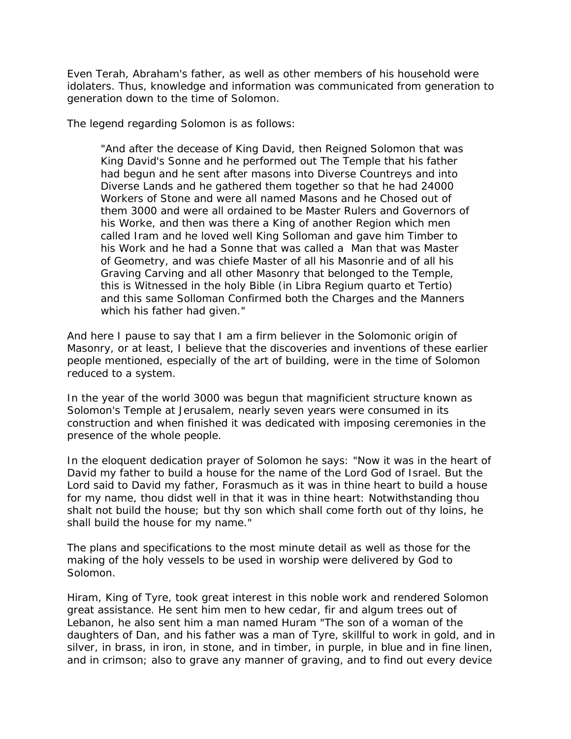Even Terah, Abraham's father, as well as other members of his household were idolaters. Thus, knowledge and information was communicated from generation to generation down to the time of Solomon.

The legend regarding Solomon is as follows:

"And after the decease of King David, then Reigned Solomon that was King David's Sonne and he performed out The Temple that his father had begun and he sent after masons into Diverse Countreys and into Diverse Lands and he gathered them together so that he had 24000 Workers of Stone and were all named Masons and he Chosed out of them 3000 and were all ordained to be Master Rulers and Governors of his Worke, and then was there a King of another Region which men called Iram and he loved well King Solloman and gave him Timber to his Work and he had a Sonne that was called a Man that was Master of Geometry, and was chiefe Master of all his Masonrie and of all his Graving Carving and all other Masonry that belonged to the Temple, this is Witnessed in the holy Bible (in Libra Regium quarto et Tertio) and this same Solloman Confirmed both the Charges and the Manners which his father had given."

And here I pause to say that I am a firm believer in the Solomonic origin of Masonry, or at least, I believe that the discoveries and inventions of these earlier people mentioned, especially of the art of building, were in the time of Solomon reduced to a system.

In the year of the world 3000 was begun that magnificient structure known as Solomon's Temple at Jerusalem, nearly seven years were consumed in its construction and when finished it was dedicated with imposing ceremonies in the presence of the whole people.

In the eloquent dedication prayer of Solomon he says: "Now it was in the heart of David my father to build a house for the name of the Lord God of Israel. But the Lord said to David my father, Forasmuch as it was in thine heart to build a house for my name, thou didst well in that it was in thine heart: Notwithstanding thou shalt not build the house; but thy son which shall come forth out of thy loins, he shall build the house for my name."

The plans and specifications to the most minute detail as well as those for the making of the holy vessels to be used in worship were delivered by God to Solomon.

Hiram, King of Tyre, took great interest in this noble work and rendered Solomon great assistance. He sent him men to hew cedar, fir and algum trees out of Lebanon, he also sent him a man named Huram "The son of a woman of the daughters of Dan, and his father was a man of Tyre, skillful to work in gold, and in silver, in brass, in iron, in stone, and in timber, in purple, in blue and in fine linen, and in crimson; also to grave any manner of graving, and to find out every device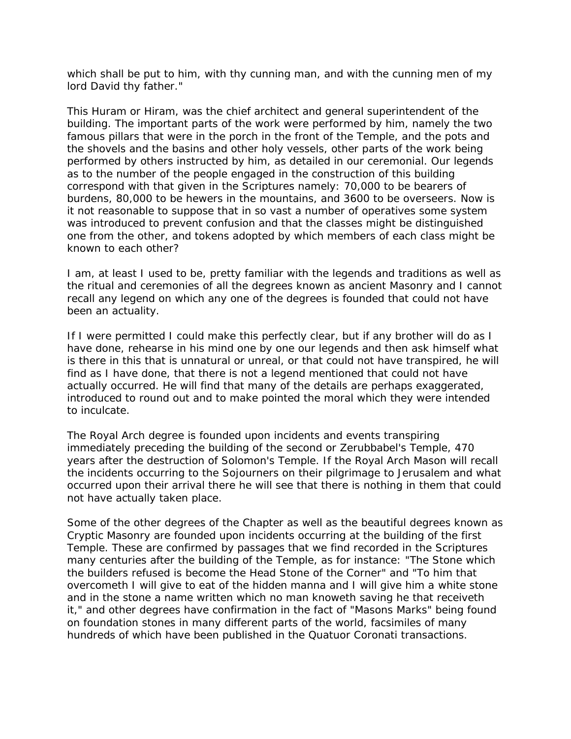which shall be put to him, with thy cunning man, and with the cunning men of my lord David thy father."

This Huram or Hiram, was the chief architect and general superintendent of the building. The important parts of the work were performed by him, namely the two famous pillars that were in the porch in the front of the Temple, and the pots and the shovels and the basins and other holy vessels, other parts of the work being performed by others instructed by him, as detailed in our ceremonial. Our legends as to the number of the people engaged in the construction of this building correspond with that given in the Scriptures namely: 70,000 to be bearers of burdens, 80,000 to be hewers in the mountains, and 3600 to be overseers. Now is it not reasonable to suppose that in so vast a number of operatives some system was introduced to prevent confusion and that the classes might be distinguished one from the other, and tokens adopted by which members of each class might be known to each other?

I am, at least I used to be, pretty familiar with the legends and traditions as well as the ritual and ceremonies of all the degrees known as ancient Masonry and I cannot recall any legend on which any one of the degrees is founded that could not have been an actuality.

If I were permitted I could make this perfectly clear, but if any brother will do as I have done, rehearse in his mind one by one our legends and then ask himself what is there in this that is unnatural or unreal, or that could not have transpired, he will find as I have done, that there is not a legend mentioned that could not have actually occurred. He will find that many of the details are perhaps exaggerated, introduced to round out and to make pointed the moral which they were intended to inculcate.

The Royal Arch degree is founded upon incidents and events transpiring immediately preceding the building of the second or Zerubbabel's Temple, 470 years after the destruction of Solomon's Temple. If the Royal Arch Mason will recall the incidents occurring to the Sojourners on their pilgrimage to Jerusalem and what occurred upon their arrival there he will see that there is nothing in them that could not have actually taken place.

Some of the other degrees of the Chapter as well as the beautiful degrees known as Cryptic Masonry are founded upon incidents occurring at the building of the first Temple. These are confirmed by passages that we find recorded in the Scriptures many centuries after the building of the Temple, as for instance: "The Stone which the builders refused is become the Head Stone of the Corner" and "To him that overcometh I will give to eat of the hidden manna and I will give him a white stone and in the stone a name written which no man knoweth saving he that receiveth it," and other degrees have confirmation in the fact of "Masons Marks" being found on foundation stones in many different parts of the world, facsimiles of many hundreds of which have been published in the Quatuor Coronati transactions.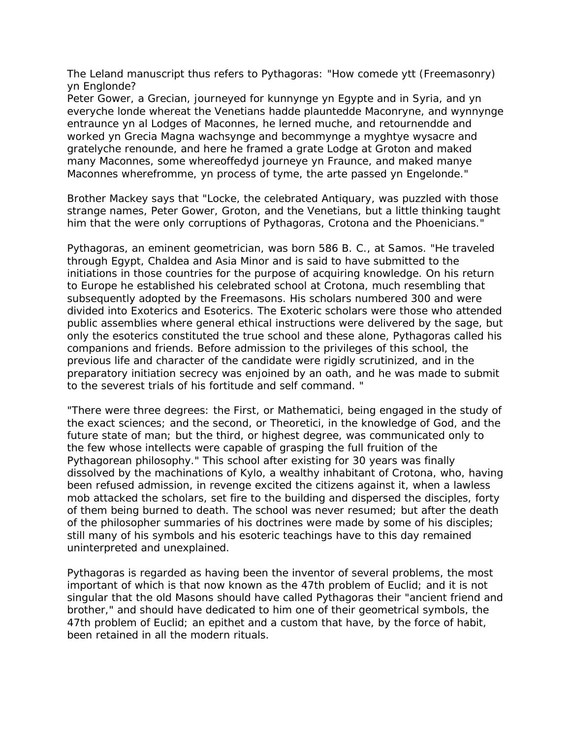The Leland manuscript thus refers to Pythagoras: "How comede ytt (Freemasonry) yn Englonde?

*Peter Gower*, a Grecian, journeyed for kunnynge yn Egypte and in Syria, and yn everyche londe whereat the Venetians hadde plauntedde Maconryne, and wynnynge entraunce yn al Lodges of Maconnes, he lerned muche, and retournendde and worked yn Grecia Magna wachsynge and becommynge a myghtye wysacre and gratelyche renounde, and here he framed a grate Lodge at Groton and maked many Maconnes, some whereoffedyd journeye yn Fraunce, and maked manye Maconnes wherefromme, yn process of tyme, the arte passed yn Engelonde."

Brother Mackey says that "Locke, the celebrated Antiquary, was puzzled with those strange names, Peter Gower, Groton, and the Venetians, but a little thinking taught him that the were only corruptions of Pythagoras, Crotona and the Phoenicians."

Pythagoras, an eminent geometrician, was born 586 B. C., at Samos. "He traveled through Egypt, Chaldea and Asia Minor and is said to have submitted to the initiations in those countries for the purpose of acquiring knowledge. On his return to Europe he established his celebrated school at Crotona, much resembling that subsequently adopted by the Freemasons. His scholars numbered 300 and were divided into Exoterics and Esoterics. The Exoteric scholars were those who attended public assemblies where general ethical instructions were delivered by the sage, but only the esoterics constituted the true school and these alone, Pythagoras called his companions and friends. Before admission to the privileges of this school, the previous life and character of the candidate were rigidly scrutinized, and in the preparatory initiation secrecy was enjoined by an oath, and he was made to submit to the severest trials of his fortitude and self command. "

"There were three degrees: the First, or Mathematici, being engaged in the study of the exact sciences; and the second, or Theoretici, in the knowledge of God, and the future state of man; but the third, or highest degree, was communicated only to the few whose intellects were capable of grasping the full fruition of the Pythagorean philosophy." This school after existing for 30 years was finally dissolved by the machinations of Kylo, a wealthy inhabitant of Crotona, who, having been refused admission, in revenge excited the citizens against it, when a lawless mob attacked the scholars, set fire to the building and dispersed the disciples, forty of them being burned to death. The school was never resumed; but after the death of the philosopher summaries of his doctrines were made by some of his disciples; still many of his symbols and his esoteric teachings have to this day remained uninterpreted and unexplained.

Pythagoras is regarded as having been the inventor of several problems, the most important of which is that now known as the 47th problem of Euclid; and it is not singular that the old Masons should have called Pythagoras their "ancient friend and brother," and should have dedicated to him one of their geometrical symbols, the 47th problem of Euclid; an epithet and a custom that have, by the force of habit, been retained in all the modern rituals.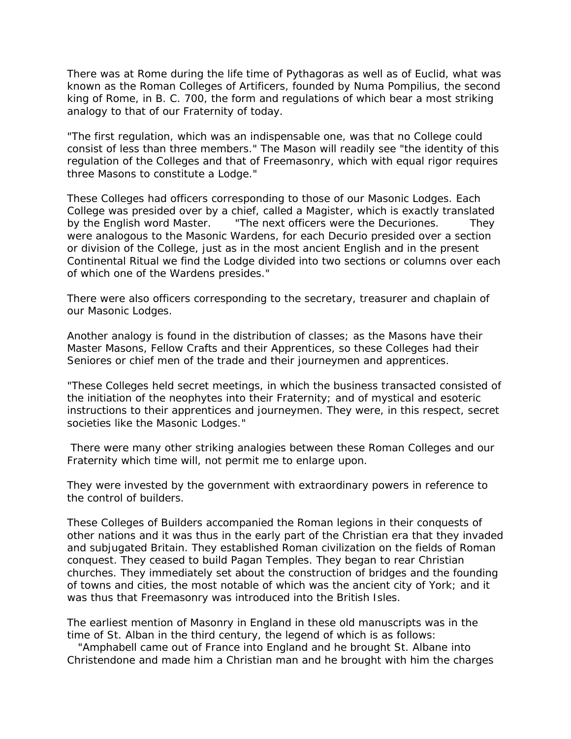There was at Rome during the life time of Pythagoras as well as of Euclid, what was known as the Roman Colleges of Artificers, founded by Numa Pompilius, the second king of Rome, in B. C. 700, the form and regulations of which bear a most striking analogy to that of our Fraternity of today.

"The first regulation, which was an indispensable one, was that no College could consist of less than three members." The Mason will readily see "the identity of this regulation of the Colleges and that of Freemasonry, which with equal rigor requires three Masons to constitute a Lodge."

These Colleges had officers corresponding to those of our Masonic Lodges. Each College was presided over by a chief, called a Magister, which is exactly translated by the English word Master. "The next officers were the Decuriones. They were analogous to the Masonic Wardens, for each Decurio presided over a section or division of the College, just as in the most ancient English and in the present Continental Ritual we find the Lodge divided into two sections or columns over each of which one of the Wardens presides."

There were also officers corresponding to the secretary, treasurer and chaplain of our Masonic Lodges.

Another analogy is found in the distribution of classes; as the Masons have their Master Masons, Fellow Crafts and their Apprentices, so these Colleges had their Seniores or chief men of the trade and their journeymen and apprentices.

"These Colleges held secret meetings, in which the business transacted consisted of the initiation of the neophytes into their Fraternity; and of mystical and esoteric instructions to their apprentices and journeymen. They were, in this respect, secret societies like the Masonic Lodges."

There were many other striking analogies between these Roman Colleges and our Fraternity which time will, not permit me to enlarge upon.

They were invested by the government with extraordinary powers in reference to the control of builders.

These Colleges of Builders accompanied the Roman legions in their conquests of other nations and it was thus in the early part of the Christian era that they invaded and subjugated Britain. They established Roman civilization on the fields of Roman conquest. They ceased to build Pagan Temples. They began to rear Christian churches. They immediately set about the construction of bridges and the founding of towns and cities, the most notable of which was the ancient city of York; and it was thus that Freemasonry was introduced into the British Isles.

The earliest mention of Masonry in England in these old manuscripts was in the time of St. Alban in the third century, the legend of which is as follows:

 "Amphabell came out of France into England and he brought St. Albane into Christendone and made him a Christian man and he brought with him the charges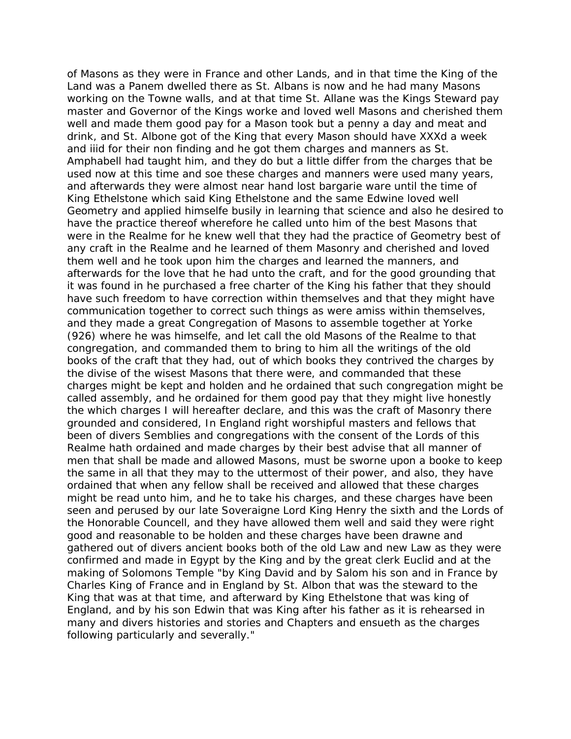of Masons as they were in France and other Lands, and in that time the King of the Land was a Panem dwelled there as St. Albans is now and he had many Masons working on the Towne walls, and at that time St. Allane was the Kings Steward pay master and Governor of the Kings worke and loved well Masons and cherished them well and made them good pay for a Mason took but a penny a day and meat and drink, and St. Albone got of the King that every Mason should have XXXd a week and iiid for their non finding and he got them charges and manners as St. Amphabell had taught him, and they do but a little differ from the charges that be used now at this time and soe these charges and manners were used many years, and afterwards they were almost near hand lost *bargarie ware* until the time of King Ethelstone which said King Ethelstone and the same Edwine loved well Geometry and applied himselfe busily in learning that science and also he desired to have the practice thereof wherefore he called unto him of the best Masons that were in the Realme for he knew well that they had the practice of Geometry best of any craft in the Realme and he learned of them Masonry and cherished and loved them well and he took upon him the charges and learned the manners, and afterwards for the love that he had unto the craft, and for the good grounding that it was found in he purchased a free charter of the King his father that they should have such freedom to have correction within themselves and that they might have communication together to correct such things as were amiss within themselves, and they made a great Congregation of Masons to assemble together at Yorke (926) where he was himselfe, and let call the old Masons of the Realme to that congregation, and commanded them to bring to him all the writings of the old books of the craft that they had, out of which books they contrived the charges by the divise of the wisest Masons that there were, and commanded that these charges might be kept and holden and he ordained that such congregation might be called assembly, and he ordained for them good pay that they might live honestly the which charges I will hereafter declare, and this was the craft of Masonry there grounded and considered, In England right worshipful masters and fellows that been of divers Semblies and congregations with the consent of the Lords of this Realme hath ordained and made charges by their best advise that all manner of men that shall be made and allowed Masons, must be sworne upon a booke to keep the same in all that they may to the uttermost of their power, and also, they have ordained that when any fellow shall be received and allowed that these charges might be read unto him, and he to take his charges, and these charges have been seen and perused by our late Soveraigne Lord King Henry the sixth and the Lords of the Honorable Councell, and they have allowed them well and said they were right good and reasonable to be holden and these charges have been drawne and gathered out of divers ancient books both of the old Law and new Law as they were confirmed and made in Egypt by the King and by the great clerk Euclid and at the making of Solomons Temple "by King David and by Salom his son and in France by Charles King of France and in England by St. Albon that was the steward to the King that was at that time, and afterward by King Ethelstone that was king of England, and by his son Edwin that was King after his father as it is rehearsed in many and divers histories and stories and Chapters and ensueth as the charges following particularly and severally."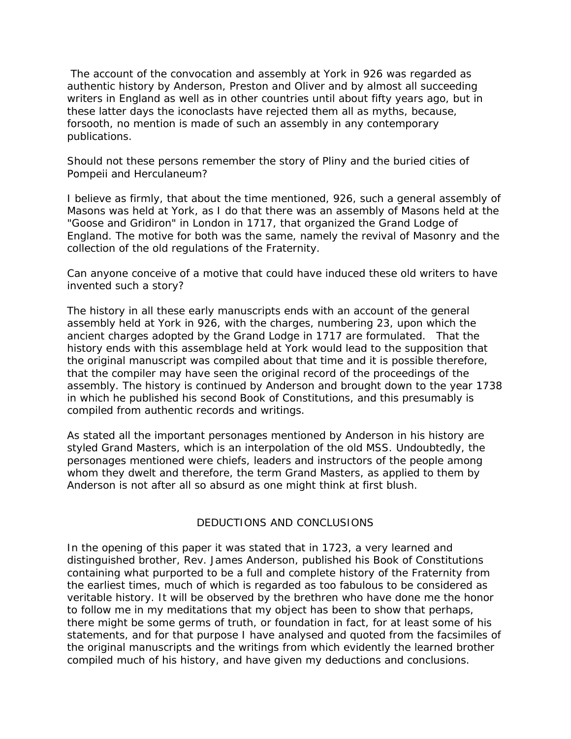The account of the convocation and assembly at York in 926 was regarded as authentic history by Anderson, Preston and Oliver and by almost all succeeding writers in England as well as in other countries until about fifty years ago, but in these latter days the iconoclasts have rejected them all as myths, because, forsooth, no mention is made of such an assembly in any contemporary publications.

Should not these persons remember the story of Pliny and the buried cities of Pompeii and Herculaneum?

I believe as firmly, that about the time mentioned, 926, such a general assembly of Masons was held at York, as I do that there was an assembly of Masons held at the "Goose and Gridiron" in London in 1717, that organized the Grand Lodge of England. The motive for both was the same, namely the revival of Masonry and the collection of the old regulations of the Fraternity.

Can anyone conceive of a motive that could have induced these old writers to have invented such a story?

The history in all these early manuscripts ends with an account of the general assembly held at York in 926, with the charges, numbering 23, upon which the ancient charges adopted by the Grand Lodge in 1717 are formulated. That the history ends with this assemblage held at York would lead to the supposition that the original manuscript was compiled about that time and it is possible therefore, that the compiler may have seen the original record of the proceedings of the assembly. The history is continued by Anderson and brought down to the year 1738 in which he published his second *Book of Constitutions*, and this presumably is compiled from authentic records and writings.

As stated all the important personages mentioned by Anderson in his history are styled Grand Masters, which is an interpolation of the old MSS. Undoubtedly, the personages mentioned were chiefs, leaders and instructors of the people among whom they dwelt and therefore, the term Grand Masters, as applied to them by Anderson is not after all so absurd as one might think at first blush.

#### DEDUCTIONS AND CONCLUSIONS

In the opening of this paper it was stated that in 1723, a very learned and distinguished brother, Rev. James Anderson, published his *Book of Constitutions* containing what purported to be a full and complete history of the Fraternity from the earliest times, much of which is regarded as too fabulous to be considered as veritable history. It will be observed by the brethren who have done me the honor to follow me in my meditations that my object has been to show that perhaps, there might be some germs of truth, or foundation in fact, for at least some of his statements, and for that purpose I have analysed and quoted from the facsimiles of the original manuscripts and the writings from which evidently the learned brother compiled much of his history, and have given my deductions and conclusions.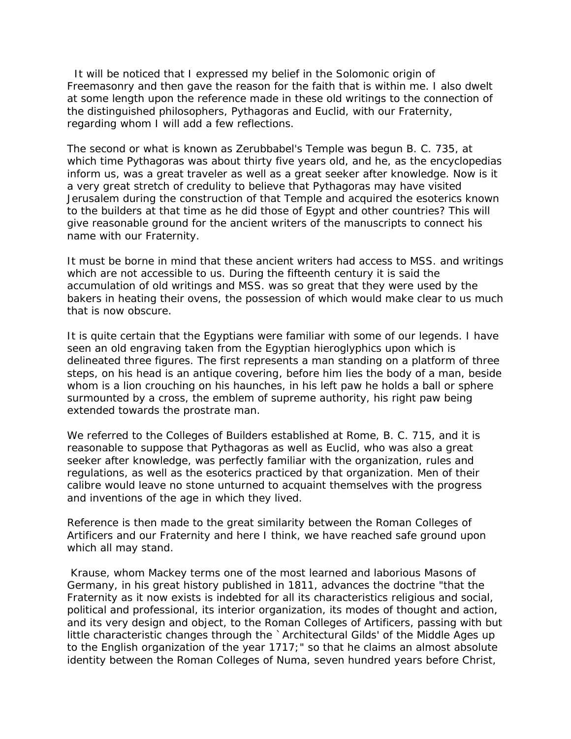It will be noticed that I expressed my belief in the Solomonic origin of Freemasonry and then gave the reason for the faith that is within me. I also dwelt at some length upon the reference made in these old writings to the connection of the distinguished philosophers, Pythagoras and Euclid, with our Fraternity, regarding whom I will add a few reflections.

The second or what is known as Zerubbabel's Temple was begun B. C. 735, at which time Pythagoras was about thirty five years old, and he, as the encyclopedias inform us, was a great traveler as well as a great seeker after knowledge. Now is it a very great stretch of credulity to believe that Pythagoras may have visited Jerusalem during the construction of that Temple and acquired the *esoterics* known to the builders at that time as he did those of Egypt and other countries? This will give reasonable ground for the ancient writers of the manuscripts to connect his name with our Fraternity.

It must be borne in mind that these ancient writers had access to MSS. and writings which are not accessible to us. During the fifteenth century it is said the accumulation of old writings and MSS. was so great that they were used by the bakers in heating their ovens, the possession of which would make clear to us much that is now obscure.

It is quite certain that the Egyptians were familiar with some of our legends. I have seen an old engraving taken from the Egyptian hieroglyphics upon which is delineated three figures. The first represents a man standing on a platform of *three steps*, on his head is an antique *covering*, before him lies the body of a man, beside whom is a lion crouching on his haunches, in his left paw he holds a ball or sphere surmounted by a cross, the emblem of supreme authority, his right paw being extended towards the prostrate man.

We referred to the Colleges of Builders established at Rome, B. C. 715, and it is reasonable to suppose that Pythagoras as well as Euclid, who was also a great seeker after knowledge, was perfectly familiar with the organization, rules and regulations, as well as the esoterics practiced by that organization. Men of their calibre would leave no stone unturned to acquaint themselves with the progress and inventions of the age in which they lived.

Reference is then made to the great similarity between the Roman Colleges of Artificers and our Fraternity and here I think, we have reached safe ground upon which all may stand.

 Krause, whom Mackey terms one of the most learned and laborious Masons of Germany, in his great history published in 1811, advances the doctrine "that the Fraternity as it now exists is indebted for all its characteristics religious and social, political and professional, its interior organization, its modes of thought and action, and its very design and object, to the Roman Colleges of Artificers, passing with but little characteristic changes through the `Architectural Gilds' of the Middle Ages up to the English organization of the year 1717;" so that he claims an almost absolute identity between the Roman Colleges of Numa, seven hundred years before Christ,